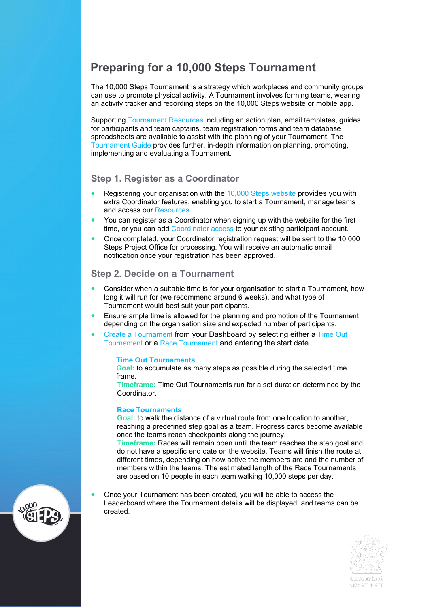# **Preparing for a 10,000 Steps Tournament**

The 10,000 Steps Tournament is a strategy which workplaces and community groups can use to promote physical activity. A Tournament involves forming teams, wearing an activity tracker and recording steps on the 10,000 Steps website or mobile app.

Supporting [Tournament Resources](https://www.10000steps.org.au/resources/) including an action plan, email templates, guides for participants and team captains, team registration forms and team database spreadsheets are available to assist with the planning of your Tournament. The [Tournament Guide](https://www.10000steps.org.au/resources/coordinators/tournament-guide/) provides further, in-depth information on planning, promoting, implementing and evaluating a Tournament.

## **Step 1. Register as a Coordinator**

- Registering your organisation with the [10,000 Steps website](https://www.10000steps.org.au/) provides you with extra Coordinator features, enabling you to start a Tournament, manage teams and access our [Resources.](https://www.10000steps.org.au/resources/)
- You can register as a Coordinator when signing up with the website for the first time, or you can add [Coordinator access](https://www.10000steps.org.au/organisation/) to your existing participant account.
- Once completed, your Coordinator registration request will be sent to the 10,000 Steps Project Office for processing. You will receive an automatic email notification once your registration has been approved.

# **Step 2. Decide on a Tournament**

- Consider when a suitable time is for your organisation to start a Tournament, how long it will run for (we recommend around 6 weeks), and what type of Tournament would best suit your participants.
- Ensure ample time is allowed for the planning and promotion of the Tournament depending on the organisation size and expected number of participants.
- [Create a Tournament](https://www.10000steps.org.au/dashboard/tournaments/) from your Dashboard by selecting either a [Time Out](https://www.10000steps.org.au/dashboard/tournaments/time-out-tournament/join/) [Tournament](https://www.10000steps.org.au/dashboard/tournaments/time-out-tournament/join/) or a [Race Tournament](https://www.10000steps.org.au/dashboard/tournaments/tournament-races/) and entering the start date.

#### **Time Out [Tournaments](https://www.10000steps.org.au/dashboard/tournaments/time-out-tournament/join/)**

**Goal:** to accumulate as many steps as possible during the selected time frame.

**Timeframe:** Time Out Tournaments run for a set duration determined by the Coordinator.

#### **[Race Tournaments](https://www.10000steps.org.au/dashboard/tournaments/tournament-races/)**

**Goal:** to walk the distance of a virtual route from one location to another, reaching a predefined step goal as a team. Progress cards become available once the teams reach checkpoints along the journey.

**Timeframe:** Races will remain open until the team reaches the step goal and do not have a specific end date on the website. Teams will finish the route at different times, depending on how active the members are and the number of members within the teams. The estimated length of the Race Tournaments are based on 10 people in each team walking 10,000 steps per day.

• Once your Tournament has been created, you will be able to access the Leaderboard where the Tournament details will be displayed, and teams can be created.



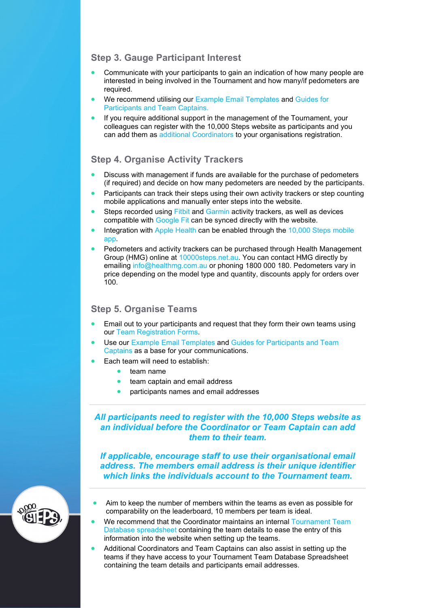# **Step 3. Gauge Participant Interest**

- Communicate with your participants to gain an indication of how many people are interested in being involved in the Tournament and how many/if pedometers are required.
- We recommend utilising our [Example Email Templates](https://www.10000steps.org.au/resources/coordinators/tournament-guide/) and [Guides for](https://www.10000steps.org.au/resources/coordinators/tournament-guide/)  [Participants and Team Captains.](https://www.10000steps.org.au/resources/coordinators/tournament-guide/)
- If you require additional support in the management of the Tournament, your colleagues can register with the 10,000 Steps website as participants and you can add them as [additional Coordinators](https://www.10000steps.org.au/organisation/) to your organisations registration.

# **Step 4. Organise Activity Trackers**

- Discuss with management if funds are available for the purchase of pedometers (if required) and decide on how many pedometers are needed by the participants.
- Participants can track their steps using their own activity trackers or step counting mobile applications and manually enter steps into the website.
- Steps recorded using [Fitbit](https://www.10000steps.org.au/support/dashboardsupport/syncing-fitbit/) and [Garmin](https://www.10000steps.org.au/support/dashboardsupport/connecting-garmin/) activity trackers, as well as devices compatible with [Google Fit](https://www.10000steps.org.au/support/tracker-connections/connecting-google-fit/) can be synced directly with the website.
- Integration with [Apple Health](https://www.10000steps.org.au/support/10000-steps-app/connecting-apple-health/) can be enabled through the 10,000 Steps mobile [app.](https://apps.apple.com/au/app/10-000-steps/id1230221426#?platform=iphone)
- Pedometers and activity trackers can be purchased through Health Management Group (HMG) online at 10000steps.net.au. You can contact HMG directly by emailing [info@healthmg.com.au](mailto:info@healthmg.com.au) or phoning 1800 000 180. Pedometers vary in price depending on the model type and quantity, discounts apply for orders over 100.

# **Step 5. Organise Teams**

- Email out to your participants and request that they form their own teams using our [Team Registration Forms.](https://www.10000steps.org.au/resources/coordinators/spreadsheets/)
- Use our [Example Email Templates](https://www.10000steps.org.au/resources/coordinators/tournament-guide/) and Guides for Participants and Team [Captains](https://www.10000steps.org.au/resources/coordinators/tournament-guide/) as a base for your communications.
- Each team will need to establish:
	- team name
	- team captain and email address
	- participants names and email addresses

### *All participants need to register with the 10,000 Steps website as an individual before the Coordinator or Team Captain can add them to their team.*

*If applicable, encourage staff to use their organisational email address. The members email address is their unique identifier which links the individuals account to the Tournament team.*

- Aim to keep the number of members within the teams as even as possible for comparability on the leaderboard, 10 members per team is ideal.
- We recommend that the Coordinator maintains an internal Tournament Team Database [spreadsheet](https://www.10000steps.org.au/resources/coordinators/spreadsheets/) containing the team details to ease the entry of this information into the website when setting up the teams.
- Additional Coordinators and Team Captains can also assist in setting up the teams if they have access to your Tournament Team Database Spreadsheet containing the team details and participants email addresses.

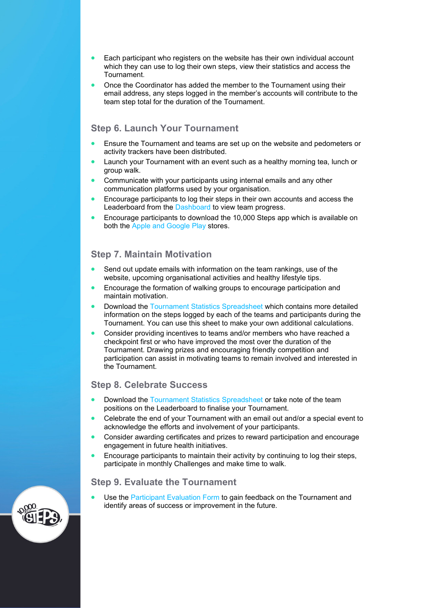- Each participant who registers on the website has their own individual account which they can use to log their own steps, view their statistics and access the Tournament.
- Once the Coordinator has added the member to the Tournament using their email address, any steps logged in the member's accounts will contribute to the team step total for the duration of the Tournament.

# **Step 6. Launch Your Tournament**

- Ensure the Tournament and teams are set up on the website and pedometers or activity trackers have been distributed.
- Launch your Tournament with an event such as a healthy morning tea, lunch or group walk.
- Communicate with your participants using internal emails and any other communication platforms used by your organisation.
- Encourage participants to log their steps in their own accounts and access the Leaderboard from the [Dashboard](https://www.10000steps.org.au/dashboard/) to view team progress.
- Encourage participants to download the 10,000 Steps app which is available on both the [Apple and Google Play](https://www.10000steps.org.au/support/10000-steps-app/where-can-i-download-10000-steps-app/) stores.

### **Step 7. Maintain Motivation**

- Send out update emails with information on the team rankings, use of the website, upcoming organisational activities and healthy lifestyle tips.
- Encourage the formation of walking groups to encourage participation and maintain motivation.
- Download the Tournament [Statistics Spreadsheet](https://www.10000steps.org.au/support/tournaments-support/using-tournament-statistics-spreadsheet/) which contains more detailed information on the steps logged by each of the teams and participants during the Tournament. You can use this sheet to make your own additional calculations.
- Consider providing incentives to teams and/or members who have reached a checkpoint first or who have improved the most over the duration of the Tournament. Drawing prizes and encouraging friendly competition and participation can assist in motivating teams to remain involved and interested in the Tournament.

## **Step 8. Celebrate Success**

- Download the [Tournament Statistics](https://www.10000steps.org.au/support/tournaments-support/using-tournament-statistics-spreadsheet/) Spreadsheet or take note of the team positions on the Leaderboard to finalise your Tournament.
- Celebrate the end of your Tournament with an email out and/or a special event to acknowledge the efforts and involvement of your participants.
- Consider awarding certificates and prizes to reward participation and encourage engagement in future health initiatives.
- Encourage participants to maintain their activity by continuing to log their steps, participate in monthly Challenges and make time to walk.

#### **Step 9. Evaluate the Tournament**

Use the [Participant Evaluation Form](https://www.10000steps.org.au/resources/coordinators/participant-resources/) to gain feedback on the Tournament and identify areas of success or improvement in the future.